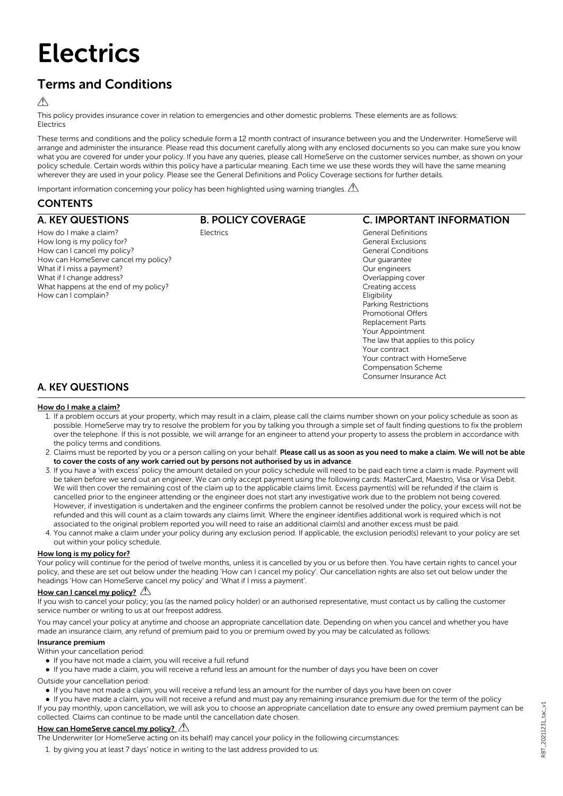# **Electrics**

# Terms and Conditions

## $\triangle$

This policy provides insurance cover in relation to emergencies and other domestic problems. These elements are as follows: Electrics

These terms and conditions and the policy schedule form a 12 month contract of insurance between you and the Underwriter. HomeServe will arrange and administer the insurance. Please read this document carefully along with any enclosed documents so you can make sure you know what you are covered for under your policy. If you have any queries, please call HomeServe on the customer services number, as shown on your policy schedule. Certain words within this policy have a particular meaning. Each time we use these words they will have the same meaning wherever they are used in your policy. Please see the General Definitions and Policy Coverage sections for further details.

Important information concerning your policy has been highlighted using warning triangles.  $\mathbb{A}$ 

# **CONTENTS**

#### A. KEY QUESTIONS How do I make a claim? How long is my policy for? How can I cancel my policy? How can HomeServe cancel my policy? What if I miss a payment? What if I change address? What happens at the end of my policy? How can I complain? B. POLICY COVERAGE Electrics C. IMPORTANT INFORMATION General Definitions General Exclusions General Conditions Our guarantee Our engineers Overlapping cover Creating access **Eligibility** Parking Restrictions Promotional Offers Replacement Parts Your Appointment The law that applies to this policy Your contract Your contract with HomeServe

# A. KEY QUESTIONS

#### How do I make a claim?

1. If a problem occurs at your property, which may result in a claim, please call the claims number shown on your policy schedule as soon as possible. HomeServe may try to resolve the problem for you by talking you through a simple set of fault finding questions to fix the problem over the telephone. If this is not possible, we will arrange for an engineer to attend your property to assess the problem in accordance with the policy terms and conditions.

Compensation Scheme Consumer Insurance Act

- 2. Claims must be reported by you or a person calling on your behalf. Please call us as soon as you need to make a claim. We will not be able to cover the costs of any work carried out by persons not authorised by us in advance.
- 3. If you have a 'with excess' policy the amount detailed on your policy schedule will need to be paid each time a claim is made. Payment will be taken before we send out an engineer. We can only accept payment using the following cards: MasterCard, Maestro, Visa or Visa Debit. We will then cover the remaining cost of the claim up to the applicable claims limit. Excess payment(s) will be refunded if the claim is cancelled prior to the engineer attending or the engineer does not start any investigative work due to the problem not being covered. However, if investigation is undertaken and the engineer confirms the problem cannot be resolved under the policy, your excess will not be refunded and this will count as a claim towards any claims limit. Where the engineer identifies additional work is required which is not associated to the original problem reported you will need to raise an additional claim(s) and another excess must be paid.
- 4. You cannot make a claim under your policy during any exclusion period. If applicable, the exclusion period(s) relevant to your policy are set out within your policy schedule.

#### How long is my policy for?

Your policy will continue for the period of twelve months, unless it is cancelled by you or us before then. You have certain rights to cancel your policy, and these are set out below under the heading 'How can I cancel my policy'. Our cancellation rights are also set out below under the headings 'How can HomeServe cancel my policy' and 'What if I miss a payment'.

#### How can I cancel my policy?  $\mathbb{A}$

If you wish to cancel your policy; you (as the named policy holder) or an authorised representative, must contact us by calling the customer service number or writing to us at our freepost address.

You may cancel your policy at anytime and choose an appropriate cancellation date. Depending on when you cancel and whether you have made an insurance claim, any refund of premium paid to you or premium owed by you may be calculated as follows:

#### Insurance premium

Within your cancellation period:

- If you have not made a claim, you will receive a full refund
- If you have made a claim, you will receive a refund less an amount for the number of days you have been on cover

Outside your cancellation period:

- l If you have not made a claim, you will receive a refund less an amount for the number of days you have been on cover
- l If you have made a claim, you will not receive a refund and must pay any remaining insurance premium due for the term of the policy

If you pay monthly, upon cancellation, we will ask you to choose an appropriate cancellation date to ensure any owed premium payment can be collected. Claims can continue to be made until the cancellation date chosen.

# How can HomeServe cancel my policy?

The Underwriter (or HomeServe acting on its behalf) may cancel your policy in the following circumstances:

1. by giving you at least 7 days' notice in writing to the last address provided to us: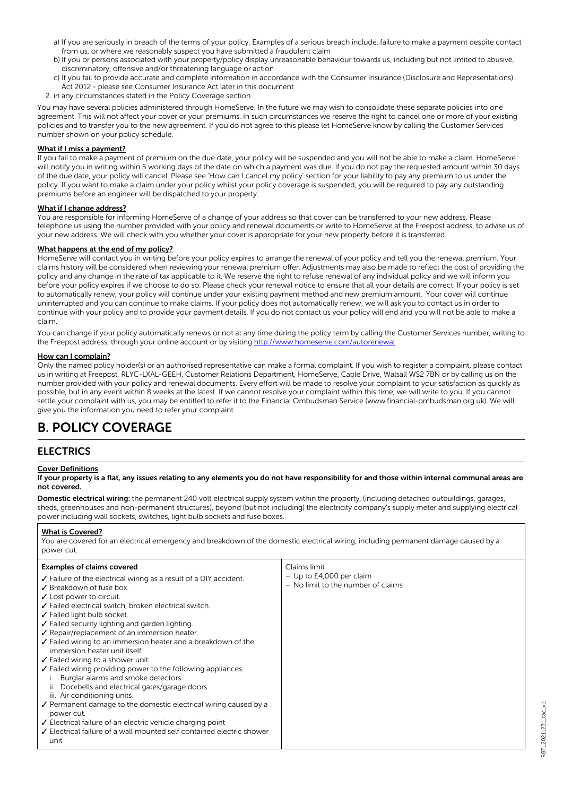- a) If you are seriously in breach of the terms of your policy. Examples of a serious breach include: failure to make a payment despite contact from us, or where we reasonably suspect you have submitted a fraudulent claim
- b) If you or persons associated with your property/policy display unreasonable behaviour towards us, including but not limited to abusive, discriminatory, offensive and/or threatening language or action
- c) If you fail to provide accurate and complete information in accordance with the Consumer Insurance (Disclosure and Representations) Act 2012 - please see Consumer Insurance Act later in this document
- 2. in any circumstances stated in the Policy Coverage section

You may have several policies administered through HomeServe. In the future we may wish to consolidate these separate policies into one agreement. This will not affect your cover or your premiums. In such circumstances we reserve the right to cancel one or more of your existing policies and to transfer you to the new agreement. If you do not agree to this please let HomeServe know by calling the Customer Services number shown on your policy schedule.

#### What if I miss a payment?

If you fail to make a payment of premium on the due date, your policy will be suspended and you will not be able to make a claim. HomeServe will notify you in writing within 5 working days of the date on which a payment was due. If you do not pay the requested amount within 30 days of the due date, your policy will cancel. Please see 'How can I cancel my policy' section for your liability to pay any premium to us under the policy. If you want to make a claim under your policy whilst your policy coverage is suspended, you will be required to pay any outstanding premiums before an engineer will be dispatched to your property.

#### What if I change address?

You are responsible for informing HomeServe of a change of your address so that cover can be transferred to your new address. Please telephone us using the number provided with your policy and renewal documents or write to HomeServe at the Freepost address, to advise us of your new address. We will check with you whether your cover is appropriate for your new property before it is transferred.

#### What happens at the end of my policy?

HomeServe will contact you in writing before your policy expires to arrange the renewal of your policy and tell you the renewal premium. Your claims history will be considered when reviewing your renewal premium offer. Adjustments may also be made to reflect the cost of providing the policy and any change in the rate of tax applicable to it. We reserve the right to refuse renewal of any individual policy and we will inform you before your policy expires if we choose to do so. Please check your renewal notice to ensure that all your details are correct. If your policy is set to automatically renew; your policy will continue under your existing payment method and new premium amount. Your cover will continue uninterrupted and you can continue to make claims. If your policy does not automatically renew; we will ask you to contact us in order to continue with your policy and to provide your payment details. If you do not contact us your policy will end and you will not be able to make a claim.

You can change if your policy automatically renews or not at any time during the policy term by calling the Customer Services number, writing to the Freepost address, through your online account or by visiting <http://www.homeserve.com/autorenewal>

#### How can I complain?

Only the named policy holder(s) or an authorised representative can make a formal complaint. If you wish to register a complaint, please contact us in writing at Freepost, RLYC-LXAL-GEEH, Customer Relations Department, HomeServe, Cable Drive, Walsall WS2 7BN or by calling us on the number provided with your policy and renewal documents. Every effort will be made to resolve your complaint to your satisfaction as quickly as possible, but in any event within 8 weeks at the latest. If we cannot resolve your complaint within this time, we will write to you. If you cannot settle your complaint with us, you may be entitled to refer it to the Financial Ombudsman Service (www.financial-ombudsman.org.uk). We will give you the information you need to refer your complaint.

# B. POLICY COVERAGE

# **ELECTRICS**

#### Cover Definitions

#### If your property is a flat, any issues relating to any elements you do not have responsibility for and those within internal communal areas are not covered.

Domestic electrical wiring: the permanent 240 volt electrical supply system within the property, (including detached outbuildings, garages, sheds, greenhouses and non-permanent structures), beyond (but not including) the electricity company's supply meter and supplying electrical power including wall sockets, switches, light bulb sockets and fuse boxes.

#### What is Covered?

You are covered for an electrical emergency and breakdown of the domestic electrical wiring, including permanent damage caused by a power cut.

| $-$ Up to £4,000 per claim<br>$\checkmark$ Failure of the electrical wiring as a result of a DIY accident.<br>- No limit to the number of claims<br>✔ Breakdown of fuse box.<br>$\checkmark$ Lost power to circuit.<br>√ Failed electrical switch, broken electrical switch.<br>✔ Failed light bulb socket.<br>$\checkmark$ Failed security lighting and garden lighting.<br>✔ Repair/replacement of an immersion heater.<br>$\checkmark$ Failed wiring to an immersion heater and a breakdown of the<br>immersion heater unit itself.<br>$\checkmark$ Failed wiring to a shower unit.<br>$\sqrt{\ }$ Failed wiring providing power to the following appliances:<br>Burglar alarms and smoke detectors<br>ii. Doorbells and electrical gates/garage doors<br>iii. Air conditioning units.<br>$\checkmark$ Permanent damage to the domestic electrical wiring caused by a<br>power cut.<br>$\checkmark$ Electrical failure of an electric vehicle charging point<br>$\checkmark$ Electrical failure of a wall mounted self contained electric shower<br>unit |  |
|-------------------------------------------------------------------------------------------------------------------------------------------------------------------------------------------------------------------------------------------------------------------------------------------------------------------------------------------------------------------------------------------------------------------------------------------------------------------------------------------------------------------------------------------------------------------------------------------------------------------------------------------------------------------------------------------------------------------------------------------------------------------------------------------------------------------------------------------------------------------------------------------------------------------------------------------------------------------------------------------------------------------------------------------------------------|--|
|-------------------------------------------------------------------------------------------------------------------------------------------------------------------------------------------------------------------------------------------------------------------------------------------------------------------------------------------------------------------------------------------------------------------------------------------------------------------------------------------------------------------------------------------------------------------------------------------------------------------------------------------------------------------------------------------------------------------------------------------------------------------------------------------------------------------------------------------------------------------------------------------------------------------------------------------------------------------------------------------------------------------------------------------------------------|--|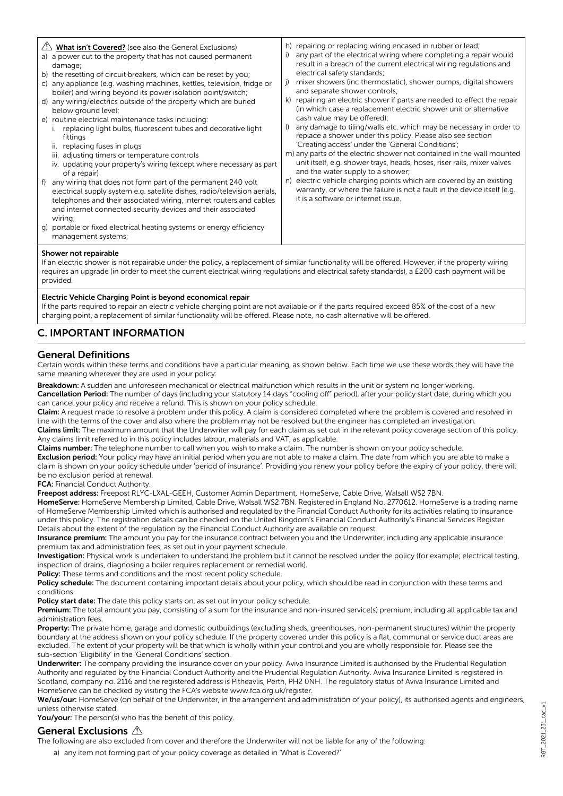| $\langle \cdot \rangle$ What isn't Covered? (see also the General Exclusions)<br>a) a power cut to the property that has not caused permanent<br>damage;<br>b) the resetting of circuit breakers, which can be reset by you;<br>c) any appliance (e.g. washing machines, kettles, television, fridge or<br>boiler) and wiring beyond its power isolation point/switch;<br>d) any wiring/electrics outside of the property which are buried<br>below ground level;<br>e) routine electrical maintenance tasks including:<br>replacing light bulbs, fluorescent tubes and decorative light<br>fittings<br>ii. replacing fuses in plugs<br>iii. adjusting timers or temperature controls<br>iv. updating your property's wiring (except where necessary as part<br>of a repair)<br>f) any wiring that does not form part of the permanent 240 volt<br>electrical supply system e.g. satellite dishes, radio/television aerials,<br>telephones and their associated wiring, internet routers and cables<br>and internet connected security devices and their associated<br>wiring;<br>q) portable or fixed electrical heating systems or energy efficiency | h) repairing or replacing wiring encased in rubber or lead;<br>any part of the electrical wiring where completing a repair would<br>i)<br>result in a breach of the current electrical wiring regulations and<br>electrical safety standards;<br>mixer showers (inc thermostatic), shower pumps, digital showers<br>i)<br>and separate shower controls;<br>k) repairing an electric shower if parts are needed to effect the repair<br>(in which case a replacement electric shower unit or alternative<br>cash value may be offered);<br>any damage to tiling/walls etc. which may be necessary in order to<br>$\mathbf{D}$<br>replace a shower under this policy. Please also see section<br>'Creating access' under the 'General Conditions';<br>m) any parts of the electric shower not contained in the wall mounted<br>unit itself, e.g. shower trays, heads, hoses, riser rails, mixer valves<br>and the water supply to a shower;<br>n) electric vehicle charging points which are covered by an existing<br>warranty, or where the failure is not a fault in the device itself (e.g.<br>it is a software or internet issue. |
|--------------------------------------------------------------------------------------------------------------------------------------------------------------------------------------------------------------------------------------------------------------------------------------------------------------------------------------------------------------------------------------------------------------------------------------------------------------------------------------------------------------------------------------------------------------------------------------------------------------------------------------------------------------------------------------------------------------------------------------------------------------------------------------------------------------------------------------------------------------------------------------------------------------------------------------------------------------------------------------------------------------------------------------------------------------------------------------------------------------------------------------------------------|--------------------------------------------------------------------------------------------------------------------------------------------------------------------------------------------------------------------------------------------------------------------------------------------------------------------------------------------------------------------------------------------------------------------------------------------------------------------------------------------------------------------------------------------------------------------------------------------------------------------------------------------------------------------------------------------------------------------------------------------------------------------------------------------------------------------------------------------------------------------------------------------------------------------------------------------------------------------------------------------------------------------------------------------------------------------------------------------------------------------------------------|
| management systems;                                                                                                                                                                                                                                                                                                                                                                                                                                                                                                                                                                                                                                                                                                                                                                                                                                                                                                                                                                                                                                                                                                                                    |                                                                                                                                                                                                                                                                                                                                                                                                                                                                                                                                                                                                                                                                                                                                                                                                                                                                                                                                                                                                                                                                                                                                      |

#### Shower not repairable

If an electric shower is not repairable under the policy, a replacement of similar functionality will be offered. However, if the property wiring requires an upgrade (in order to meet the current electrical wiring regulations and electrical safety standards), a £200 cash payment will be provided.

#### Electric Vehicle Charging Point is beyond economical repair

If the parts required to repair an electric vehicle charging point are not available or if the parts required exceed 85% of the cost of a new charging point, a replacement of similar functionality will be offered. Please note, no cash alternative will be offered.

# C. IMPORTANT INFORMATION

### General Definitions

Certain words within these terms and conditions have a particular meaning, as shown below. Each time we use these words they will have the same meaning wherever they are used in your policy:

Breakdown: A sudden and unforeseen mechanical or electrical malfunction which results in the unit or system no longer working. Cancellation Period: The number of days (including your statutory 14 days "cooling off" period), after your policy start date, during which you

can cancel your policy and receive a refund. This is shown on your policy schedule.

Claim: A request made to resolve a problem under this policy. A claim is considered completed where the problem is covered and resolved in line with the terms of the cover and also where the problem may not be resolved but the engineer has completed an investigation.

Claims limit: The maximum amount that the Underwriter will pay for each claim as set out in the relevant policy coverage section of this policy. Any claims limit referred to in this policy includes labour, materials and VAT, as applicable.

Claims number: The telephone number to call when you wish to make a claim. The number is shown on your policy schedule.

Exclusion period: Your policy may have an initial period when you are not able to make a claim. The date from which you are able to make a claim is shown on your policy schedule under 'period of insurance'. Providing you renew your policy before the expiry of your policy, there will be no exclusion period at renewal.

FCA: Financial Conduct Authority.

Freepost address: Freepost RLYC-LXAL-GEEH, Customer Admin Department, HomeServe, Cable Drive, Walsall WS2 7BN.

HomeServe: HomeServe Membership Limited, Cable Drive, Walsall WS2 7BN. Registered in England No. 2770612. HomeServe is a trading name of HomeServe Membership Limited which is authorised and regulated by the Financial Conduct Authority for its activities relating to insurance under this policy. The registration details can be checked on the United Kingdom's Financial Conduct Authority's Financial Services Register. Details about the extent of the regulation by the Financial Conduct Authority are available on request.

Insurance premium: The amount you pay for the insurance contract between you and the Underwriter, including any applicable insurance premium tax and administration fees, as set out in your payment schedule.

Investigation: Physical work is undertaken to understand the problem but it cannot be resolved under the policy (for example; electrical testing, inspection of drains, diagnosing a boiler requires replacement or remedial work).

Policy: These terms and conditions and the most recent policy schedule.

Policy schedule: The document containing important details about your policy, which should be read in conjunction with these terms and conditions.

Policy start date: The date this policy starts on, as set out in your policy schedule.

Premium: The total amount you pay, consisting of a sum for the insurance and non-insured service(s) premium, including all applicable tax and administration fees.

Property: The private home, garage and domestic outbuildings (excluding sheds, greenhouses, non-permanent structures) within the property boundary at the address shown on your policy schedule. If the property covered under this policy is a flat, communal or service duct areas are excluded. The extent of your property will be that which is wholly within your control and you are wholly responsible for. Please see the sub-section 'Eligibility' in the 'General Conditions' section.

Underwriter: The company providing the insurance cover on your policy. Aviva Insurance Limited is authorised by the Prudential Regulation Authority and regulated by the Financial Conduct Authority and the Prudential Regulation Authority. Aviva Insurance Limited is registered in Scotland, company no. 2116 and the registered address is Pitheavlis, Perth, PH2 0NH. The regulatory status of Aviva Insurance Limited and HomeServe can be checked by visiting the FCA's website www.fca.org.uk/register.

We/us/our: HomeServe (on behalf of the Underwriter, in the arrangement and administration of your policy), its authorised agents and engineers, unless otherwise stated.

You/your: The person(s) who has the benefit of this policy.

## General Exclusions A

The following are also excluded from cover and therefore the Underwriter will not be liable for any of the following:

a) any item not forming part of your policy coverage as detailed in 'What is Covered?'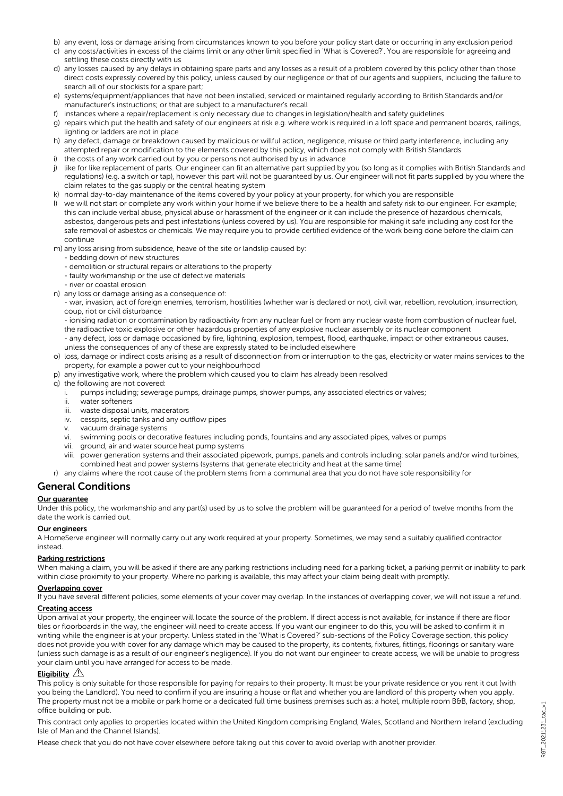- b) any event, loss or damage arising from circumstances known to you before your policy start date or occurring in any exclusion period
- c) any costs/activities in excess of the claims limit or any other limit specified in 'What is Covered?'. You are responsible for agreeing and settling these costs directly with us
- d) any losses caused by any delays in obtaining spare parts and any losses as a result of a problem covered by this policy other than those direct costs expressly covered by this policy, unless caused by our negligence or that of our agents and suppliers, including the failure to search all of our stockists for a spare part;
- e) systems/equipment/appliances that have not been installed, serviced or maintained regularly according to British Standards and/or manufacturer's instructions; or that are subject to a manufacturer's recall
- f) instances where a repair/replacement is only necessary due to changes in legislation/health and safety guidelines
- g) repairs which put the health and safety of our engineers at risk e.g. where work is required in a loft space and permanent boards, railings, lighting or ladders are not in place
- h) any defect, damage or breakdown caused by malicious or willful action, negligence, misuse or third party interference, including any attempted repair or modification to the elements covered by this policy, which does not comply with British Standards
- i) the costs of any work carried out by you or persons not authorised by us in advance
- j) like for like replacement of parts. Our engineer can fit an alternative part supplied by you (so long as it complies with British Standards and regulations) (e.g. a switch or tap), however this part will not be guaranteed by us. Our engineer will not fit parts supplied by you where the claim relates to the gas supply or the central heating system
- k) normal day-to-day maintenance of the items covered by your policy at your property, for which you are responsible
- l) we will not start or complete any work within your home if we believe there to be a health and safety risk to our engineer. For example; this can include verbal abuse, physical abuse or harassment of the engineer or it can include the presence of hazardous chemicals, asbestos, dangerous pets and pest infestations (unless covered by us). You are responsible for making it safe including any cost for the safe removal of asbestos or chemicals. We may require you to provide certified evidence of the work being done before the claim can continue
- m) any loss arising from subsidence, heave of the site or landslip caused by:
	- bedding down of new structures
	- demolition or structural repairs or alterations to the property
	- faulty workmanship or the use of defective materials
	- river or coastal erosion
- n) any loss or damage arising as a consequence of:
	- war, invasion, act of foreign enemies, terrorism, hostilities (whether war is declared or not), civil war, rebellion, revolution, insurrection, coup, riot or civil disturbance
	- ionising radiation or contamination by radioactivity from any nuclear fuel or from any nuclear waste from combustion of nuclear fuel, the radioactive toxic explosive or other hazardous properties of any explosive nuclear assembly or its nuclear component - any defect, loss or damage occasioned by fire, lightning, explosion, tempest, flood, earthquake, impact or other extraneous causes,
	- unless the consequences of any of these are expressly stated to be included elsewhere
- o) loss, damage or indirect costs arising as a result of disconnection from or interruption to the gas, electricity or water mains services to the property, for example a power cut to your neighbourhood
- p) any investigative work, where the problem which caused you to claim has already been resolved
- q) the following are not covered:
- pumps including; sewerage pumps, drainage pumps, shower pumps, any associated electrics or valves;
	- ii. water softeners
	- iii. waste disposal units, macerators
	- iv. cesspits, septic tanks and any outflow pipes
	- v. vacuum drainage systems
	- vi. swimming pools or decorative features including ponds, fountains and any associated pipes, valves or pumps
	- vii. ground, air and water source heat pump systems
	- viii. power generation systems and their associated pipework, pumps, panels and controls including: solar panels and/or wind turbines; combined heat and power systems (systems that generate electricity and heat at the same time)
- r) any claims where the root cause of the problem stems from a communal area that you do not have sole responsibility for

# General Conditions

#### Our guarantee

Under this policy, the workmanship and any part(s) used by us to solve the problem will be guaranteed for a period of twelve months from the date the work is carried out.

#### Our engineers

A HomeServe engineer will normally carry out any work required at your property. Sometimes, we may send a suitably qualified contractor instead.

#### Parking restrictions

When making a claim, you will be asked if there are any parking restrictions including need for a parking ticket, a parking permit or inability to park within close proximity to your property. Where no parking is available, this may affect your claim being dealt with promptly.

#### Overlapping cover

If you have several different policies, some elements of your cover may overlap. In the instances of overlapping cover, we will not issue a refund.

#### Creating access

Upon arrival at your property, the engineer will locate the source of the problem. If direct access is not available, for instance if there are floor tiles or floorboards in the way, the engineer will need to create access. If you want our engineer to do this, you will be asked to confirm it in writing while the engineer is at your property. Unless stated in the 'What is Covered?' sub-sections of the Policy Coverage section, this policy does not provide you with cover for any damage which may be caused to the property, its contents, fixtures, fittings, floorings or sanitary ware (unless such damage is as a result of our engineer's negligence). If you do not want our engineer to create access, we will be unable to progress your claim until you have arranged for access to be made.

#### Eligibility  $\triangle$

This policy is only suitable for those responsible for paying for repairs to their property. It must be your private residence or you rent it out (with you being the Landlord). You need to confirm if you are insuring a house or flat and whether you are landlord of this property when you apply. The property must not be a mobile or park home or a dedicated full time business premises such as: a hotel, multiple room B&B, factory, shop, office building or pub.

This contract only applies to properties located within the United Kingdom comprising England, Wales, Scotland and Northern Ireland (excluding Isle of Man and the Channel Islands).

Please check that you do not have cover elsewhere before taking out this cover to avoid overlap with another provider.